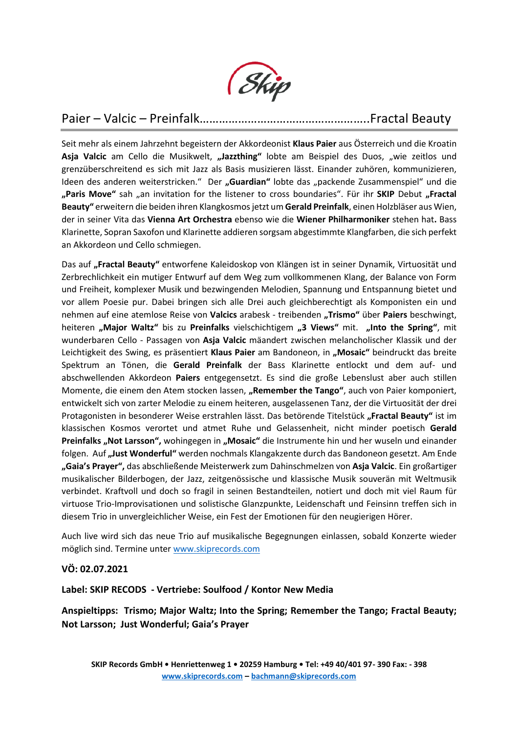

# Paier – Valcic – Preinfalk……………………………………………..Fractal Beauty

Seit mehr als einem Jahrzehnt begeistern der Akkordeonist **Klaus Paier** aus Österreich und die Kroatin Asja Valcic am Cello die Musikwelt, "Jazzthing" lobte am Beispiel des Duos, "wie zeitlos und grenzüberschreitend es sich mit Jazz als Basis musizieren lässt. Einander zuhören, kommunizieren, Ideen des anderen weiterstricken." Der "Guardian" lobte das "packende Zusammenspiel" und die "Paris Move" sah "an invitation for the listener to cross boundaries". Für ihr SKIP Debut "Fractal **Beauty"** erweitern die beiden ihren Klangkosmos jetzt um **Gerald Preinfalk**, einen Holzbläser aus Wien, der in seiner Vita das **Vienna Art Orchestra** ebenso wie die **Wiener Philharmoniker** stehen hat**.** Bass Klarinette, Sopran Saxofon und Klarinette addieren sorgsam abgestimmte Klangfarben, die sich perfekt an Akkordeon und Cello schmiegen.

Das auf "Fractal Beauty" entworfene Kaleidoskop von Klängen ist in seiner Dynamik, Virtuosität und Zerbrechlichkeit ein mutiger Entwurf auf dem Weg zum vollkommenen Klang, der Balance von Form und Freiheit, komplexer Musik und bezwingenden Melodien, Spannung und Entspannung bietet und vor allem Poesie pur. Dabei bringen sich alle Drei auch gleichberechtigt als Komponisten ein und nehmen auf eine atemlose Reise von **Valcics** arabesk - treibenden **"Trismo"** über **Paiers** beschwingt, heiteren **"Major Waltz"** bis zu **Preinfalks** vielschichtigem **"3 Views"** mit. **"Into the Spring"**, mit wunderbaren Cello - Passagen von **Asja Valcic** mäandert zwischen melancholischer Klassik und der Leichtigkeit des Swing, es präsentiert Klaus Paier am Bandoneon, in "Mosaic" beindruckt das breite Spektrum an Tönen, die **Gerald Preinfalk** der Bass Klarinette entlockt und dem auf- und abschwellenden Akkordeon **Paiers** entgegensetzt. Es sind die große Lebenslust aber auch stillen Momente, die einem den Atem stocken lassen, "Remember the Tango", auch von Paier komponiert, entwickelt sich von zarter Melodie zu einem heiteren, ausgelassenen Tanz, der die Virtuosität der drei Protagonisten in besonderer Weise erstrahlen lässt. Das betörende Titelstück "Fractal Beauty" ist im klassischen Kosmos verortet und atmet Ruhe und Gelassenheit, nicht minder poetisch **Gerald Preinfalks "Not Larsson",** wohingegen in **"Mosaic"** die Instrumente hin und her wuseln und einander folgen. Auf **"Just Wonderful"** werden nochmals Klangakzente durch das Bandoneon gesetzt. Am Ende **"Gaia's Prayer",** das abschließende Meisterwerk zum Dahinschmelzen von **Asja Valcic**. Ein großartiger musikalischer Bilderbogen, der Jazz, zeitgenössische und klassische Musik souverän mit Weltmusik verbindet. Kraftvoll und doch so fragil in seinen Bestandteilen, notiert und doch mit viel Raum für virtuose Trio-Improvisationen und solistische Glanzpunkte, Leidenschaft und Feinsinn treffen sich in diesem Trio in unvergleichlicher Weise, ein Fest der Emotionen für den neugierigen Hörer.

Auch live wird sich das neue Trio auf musikalische Begegnungen einlassen, sobald Konzerte wieder möglich sind. Termine unter [www.skiprecords.com](http://www.skiprecords.com/)

## **VÖ: 02.07.2021**

**Label: SKIP RECODS - Vertriebe: Soulfood / Kontor New Media** 

**Anspieltipps: Trismo; Major Waltz; Into the Spring; Remember the Tango; Fractal Beauty; Not Larsson; Just Wonderful; Gaia's Prayer**